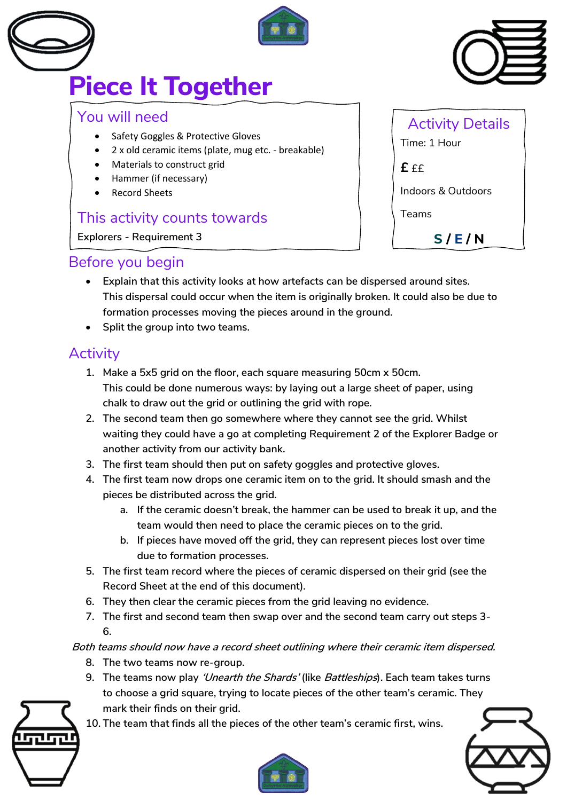



# **Piece It Together**

## You will need

- Safety Goggles & Protective Gloves
- 2 x old ceramic items (plate, mug etc. breakable)
- Materials to construct grid
- Hammer (if necessary)
- Record Sheets

#### This activity counts towards

**Explorers - Requirement 3**

| <b>Activity Details</b><br>Time: 1 Hour |
|-----------------------------------------|
| £ ££                                    |
| <b>Indoors &amp; Outdoors</b>           |
| Teams                                   |

**S / E / N**

## Before you begin

- **Explain that this activity looks at how artefacts can be dispersed around sites. This dispersal could occur when the item is originally broken. It could also be due to formation processes moving the pieces around in the ground.**
- **Split the group into two teams.**

# **Activity**

- **1. Make a 5x5 grid on the floor, each square measuring 50cm x 50cm. This could be done numerous ways: by laying out a large sheet of paper, using chalk to draw out the grid or outlining the grid with rope.**
- **2. The second team then go somewhere where they cannot see the grid. Whilst waiting they could have a go at completing Requirement 2 of the Explorer Badge or another activity from our activity bank.**
- **3. The first team should then put on safety goggles and protective gloves.**
- **4. The first team now drops one ceramic item on to the grid. It should smash and the pieces be distributed across the grid.**
	- **a. If the ceramic doesn't break, the hammer can be used to break it up, and the team would then need to place the ceramic pieces on to the grid.**
	- **b. If pieces have moved off the grid, they can represent pieces lost over time due to formation processes.**
- **5. The first team record where the pieces of ceramic dispersed on their grid (see the Record Sheet at the end of this document).**
- **6. They then clear the ceramic pieces from the grid leaving no evidence.**
- **7. The first and second team then swap over and the second team carry out steps 3- 6.**

**Both teams should now have a record sheet outlining where their ceramic item dispersed.**

- **8. The two teams now re-group.**
- **9. The teams now play 'Unearth the Shards' (like Battleships). Each team takes turns to choose a grid square, trying to locate pieces of the other team's ceramic. They mark their finds on their grid.**



**10. The team that finds all the pieces of the other team's ceramic first, wins.**





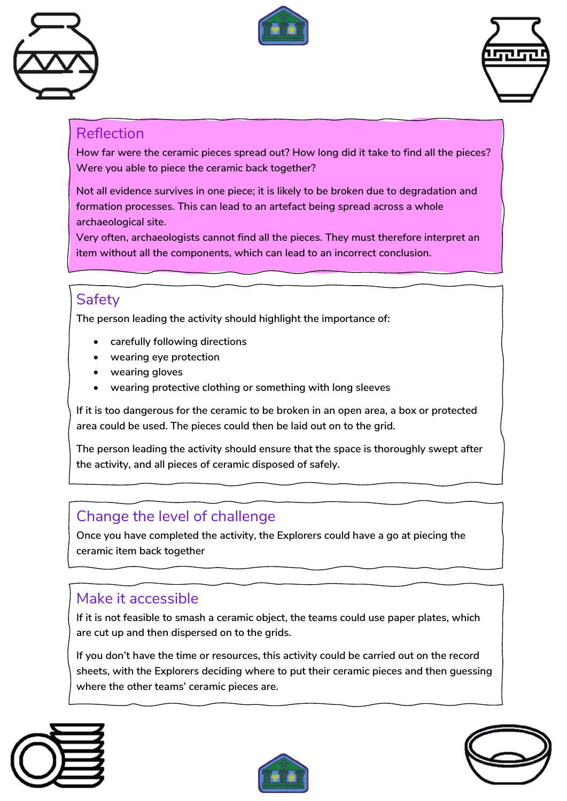





#### Reflection

**How far were the ceramic pieces spread out? How long did it take to find all the pieces? Were you able to piece the ceramic back together?** 

**Not all evidence survives in one piece; it is likely to be broken due to degradation and formation processes. This can lead to an artefact being spread across a whole archaeological site.**

**Very often, archaeologists cannot find all the pieces. They must therefore interpret an item without all the components, which can lead to an incorrect conclusion.**

# **Safety**

**The person leading the activity should highlight the importance of:**

- **carefully following directions**
- **wearing eye protection**
- **wearing gloves**
- **wearing protective clothing or something with long sleeves**

**If it is too dangerous for the ceramic to be broken in an open area, a box or protected area could be used. The pieces could then be laid out on to the grid.**

**The person leading the activity should ensure that the space is thoroughly swept after the activity, and all pieces of ceramic disposed of safely.**

## Change the level of challenge

**Once you have completed the activity, the Explorers could have a go at piecing the ceramic item back together**

## Make it accessible

**If it is not feasible to smash a ceramic object, the teams could use paper plates, which are cut up and then dispersed on to the grids.** 

**If you don't have the time or resources, this activity could be carried out on the record sheets, with the Explorers deciding where to put their ceramic pieces and then guessing where the other teams' ceramic pieces are.**